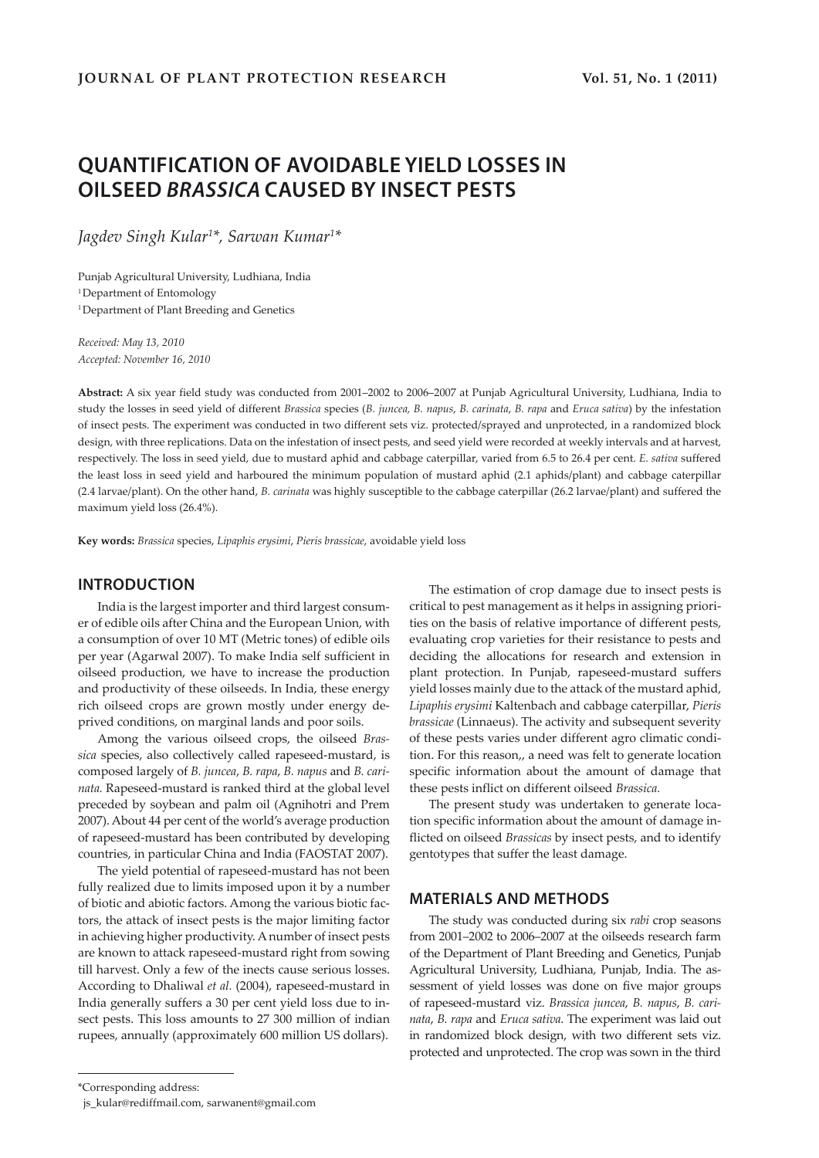# **QUANTIFICATION OF AVOIDABLE YIELD LOSSES IN OILSEED** *BRASSICA* **CAUSED BY INSECT PESTS**

*Jagdev Singh Kular1 \*, Sarwan Kumar1 \**

Punjab Agricultural University, Ludhiana, India <sup>1</sup> Department of Entomology <sup>1</sup> Department of Plant Breeding and Genetics

*Received: May 13, 2010 Accepted: November 16, 2010*

**Abstract:** A six year field study was conducted from 2001–2002 to 2006–2007 at Punjab Agricultural University, Ludhiana, India to study the losses in seed yield of different *Brassica* species (*B. juncea, B. napus*, *B. carinata*, *B. rapa* and *Eruca sativa*) by the infestation of insect pests. The experiment was conducted in two different sets viz. protected/sprayed and unprotected, in a randomized block design, with three replications. Data on the infestation of insect pests, and seed yield were recorded at weekly intervals and at harvest, respectively. The loss in seed yield, due to mustard aphid and cabbage caterpillar, varied from 6.5 to 26.4 per cent. *E. sativa* suffered the least loss in seed yield and harboured the minimum population of mustard aphid (2.1 aphids/plant) and cabbage caterpillar (2.4 larvae/plant). On the other hand, *B. carinata* was highly susceptible to the cabbage caterpillar (26.2 larvae/plant) and suffered the maximum yield loss (26.4%).

**Key words:** *Brassica* species, *Lipaphis erysimi*, *Pieris brassicae*, avoidable yield loss

### **INTRODUCTION**

India is the largest importer and third largest consumer of edible oils after China and the European Union, with a consumption of over 10 MT (Metric tones) of edible oils per year (Agarwal 2007). To make India self sufficient in oilseed production, we have to increase the production and productivity of these oilseeds. In India, these energy rich oilseed crops are grown mostly under energy deprived conditions, on marginal lands and poor soils.

Among the various oilseed crops, the oilseed *Brassica* species, also collectively called rapeseed-mustard, is composed largely of *B. juncea*, *B. rapa*, *B. napus* and *B. carinata.* Rapeseed-mustard is ranked third at the global level preceded by soybean and palm oil (Agnihotri and Prem 2007). About 44 per cent of the world's average production of rapeseed-mustard has been contributed by developing countries, in particular China and India (FAOSTAT 2007).

The yield potential of rapeseed-mustard has not been fully realized due to limits imposed upon it by a number of biotic and abiotic factors. Among the various biotic factors, the attack of insect pests is the major limiting factor in achieving higher productivity. A number of insect pests are known to attack rapeseed-mustard right from sowing till harvest. Only a few of the inects cause serious losses. According to Dhaliwal *et al.* (2004), rapeseed-mustard in India generally suffers a 30 per cent yield loss due to insect pests. This loss amounts to 27 300 million of indian rupees, annually (approximately 600 million US dollars).

The present study was undertaken to generate location specific information about the amount of damage inflicted on oilseed *Brassicas* by insect pests, and to identify gentotypes that suffer the least damage.

### **MATERIALS AND METHODS**

The study was conducted during six *rabi* crop seasons from 2001–2002 to 2006–2007 at the oilseeds research farm of the Department of Plant Breeding and Genetics, Punjab Agricultural University, Ludhiana, Punjab, India. The assessment of yield losses was done on five major groups of rapeseed-mustard viz. *Brassica juncea*, *B. napus*, *B. carinata*, *B. rapa* and *Eruca sativa*. The experiment was laid out in randomized block design, with two different sets viz. protected and unprotected. The crop was sown in the third

The estimation of crop damage due to insect pests is critical to pest management as it helps in assigning priorities on the basis of relative importance of different pests, evaluating crop varieties for their resistance to pests and deciding the allocations for research and extension in plant protection. In Punjab, rapeseed-mustard suffers yield losses mainly due to the attack of the mustard aphid, *Lipaphis erysimi* Kaltenbach and cabbage caterpillar, *Pieris brassicae* (Linnaeus). The activity and subsequent severity of these pests varies under different agro climatic condition. For this reason,, a need was felt to generate location specific information about the amount of damage that these pests inflict on different oilseed *Brassica.*

<sup>\*</sup>Corresponding address:

js\_kular@rediffmail.com, sarwanent@gmail.com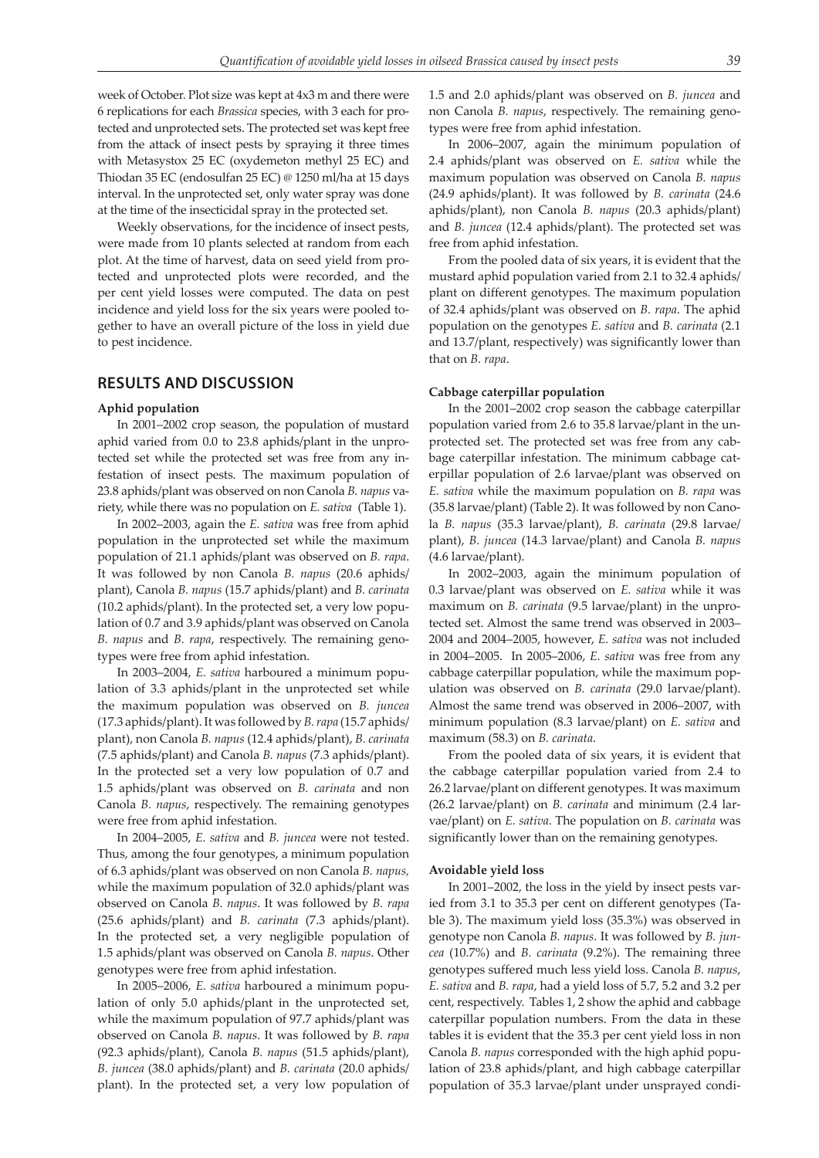week of October. Plot size was kept at 4x3 m and there were 6 replications for each *Brassica* species, with 3 each for protected and unprotected sets. The protected set was kept free from the attack of insect pests by spraying it three times with Metasystox 25 EC (oxydemeton methyl 25 EC) and Thiodan 35 EC (endosulfan 25 EC) @ 1250 ml/ha at 15 days interval. In the unprotected set, only water spray was done at the time of the insecticidal spray in the protected set.

Weekly observations, for the incidence of insect pests, were made from 10 plants selected at random from each plot. At the time of harvest, data on seed yield from protected and unprotected plots were recorded, and the per cent yield losses were computed. The data on pest incidence and yield loss for the six years were pooled together to have an overall picture of the loss in yield due to pest incidence.

### **RESULTS AND DISCUSSION**

#### **Aphid population**

In 2001–2002 crop season, the population of mustard aphid varied from 0.0 to 23.8 aphids/plant in the unprotected set while the protected set was free from any infestation of insect pests. The maximum population of 23.8 aphids/plant was observed on non Canola *B. napus* variety, while there was no population on *E. sativa* (Table 1).

In 2002–2003, again the *E. sativa* was free from aphid population in the unprotected set while the maximum population of 21.1 aphids/plant was observed on *B. rapa*. It was followed by non Canola *B. napus* (20.6 aphids/ plant), Canola *B. napus* (15.7 aphids/plant) and *B. carinata* (10.2 aphids/plant). In the protected set, a very low population of 0.7 and 3.9 aphids/plant was observed on Canola *B. napus* and *B. rapa*, respectively. The remaining genotypes were free from aphid infestation.

In 2003–2004, *E. sativa* harboured a minimum population of 3.3 aphids/plant in the unprotected set while the maximum population was observed on *B. juncea* (17.3 aphids/plant). It was followed by *B. rapa* (15.7 aphids/ plant), non Canola *B. napus* (12.4 aphids/plant), *B. carinata* (7.5 aphids/plant) and Canola *B. napus* (7.3 aphids/plant). In the protected set a very low population of 0.7 and 1.5 aphids/plant was observed on *B. carinata* and non Canola *B. napus*, respectively. The remaining genotypes were free from aphid infestation.

In 2004–2005, *E. sativa* and *B. juncea* were not tested. Thus, among the four genotypes, a minimum population of 6.3 aphids/plant was observed on non Canola *B. napus,* while the maximum population of 32.0 aphids/plant was observed on Canola *B. napus*. It was followed by *B. rapa* (25.6 aphids/plant) and *B. carinata* (7.3 aphids/plant). In the protected set, a very negligible population of 1.5 aphids/plant was observed on Canola *B. napus*. Other genotypes were free from aphid infestation.

In 2005–2006, *E. sativa* harboured a minimum population of only 5.0 aphids/plant in the unprotected set, while the maximum population of 97.7 aphids/plant was observed on Canola *B. napus*. It was followed by *B. rapa* (92.3 aphids/plant), Canola *B. napus* (51.5 aphids/plant), *B. juncea* (38.0 aphids/plant) and *B. carinata* (20.0 aphids/ plant). In the protected set, a very low population of 1.5 and 2.0 aphids/plant was observed on *B. juncea* and non Canola *B. napus*, respectively. The remaining genotypes were free from aphid infestation.

In 2006–2007, again the minimum population of 2.4 aphids/plant was observed on *E. sativa* while the maximum population was observed on Canola *B. napus* (24.9 aphids/plant). It was followed by *B. carinata* (24.6 aphids/plant), non Canola *B. napus* (20.3 aphids/plant) and *B. juncea* (12.4 aphids/plant). The protected set was free from aphid infestation.

From the pooled data of six years, it is evident that the mustard aphid population varied from 2.1 to 32.4 aphids/ plant on different genotypes. The maximum population of 32.4 aphids/plant was observed on *B. rapa*. The aphid population on the genotypes *E. sativa* and *B. carinata* (2.1 and 13.7/plant, respectively) was significantly lower than that on *B. rapa*.

#### **Cabbage caterpillar population**

In the 2001–2002 crop season the cabbage caterpillar population varied from 2.6 to 35.8 larvae/plant in the unprotected set. The protected set was free from any cabbage caterpillar infestation. The minimum cabbage caterpillar population of 2.6 larvae/plant was observed on *E. sativa* while the maximum population on *B. rapa* was (35.8 larvae/plant) (Table 2). It was followed by non Canola *B. napus* (35.3 larvae/plant), *B. carinata* (29.8 larvae/ plant), *B. juncea* (14.3 larvae/plant) and Canola *B. napus* (4.6 larvae/plant).

In 2002–2003, again the minimum population of 0.3 larvae/plant was observed on *E. sativa* while it was maximum on *B. carinata* (9.5 larvae/plant) in the unprotected set. Almost the same trend was observed in 2003– 2004 and 2004–2005, however, *E. sativa* was not included in 2004–2005. In 2005–2006, *E. sativa* was free from any cabbage caterpillar population, while the maximum population was observed on *B. carinata* (29.0 larvae/plant). Almost the same trend was observed in 2006–2007, with minimum population (8.3 larvae/plant) on *E. sativa* and maximum (58.3) on *B. carinata*.

From the pooled data of six years, it is evident that the cabbage caterpillar population varied from 2.4 to 26.2 larvae/plant on different genotypes. It was maximum (26.2 larvae/plant) on *B. carinata* and minimum (2.4 larvae/plant) on *E. sativa*. The population on *B. carinata* was significantly lower than on the remaining genotypes.

#### **Avoidable yield loss**

In 2001–2002, the loss in the yield by insect pests varied from 3.1 to 35.3 per cent on different genotypes (Table 3). The maximum yield loss (35.3%) was observed in genotype non Canola *B. napus*. It was followed by *B. juncea* (10.7%) and *B. carinata* (9.2%). The remaining three genotypes suffered much less yield loss. Canola *B. napus*, *E. sativa* and *B. rapa*, had a yield loss of 5.7, 5.2 and 3.2 per cent, respectively. Tables 1, 2 show the aphid and cabbage caterpillar population numbers. From the data in these tables it is evident that the 35.3 per cent yield loss in non Canola *B. napus* corresponded with the high aphid population of 23.8 aphids/plant, and high cabbage caterpillar population of 35.3 larvae/plant under unsprayed condi-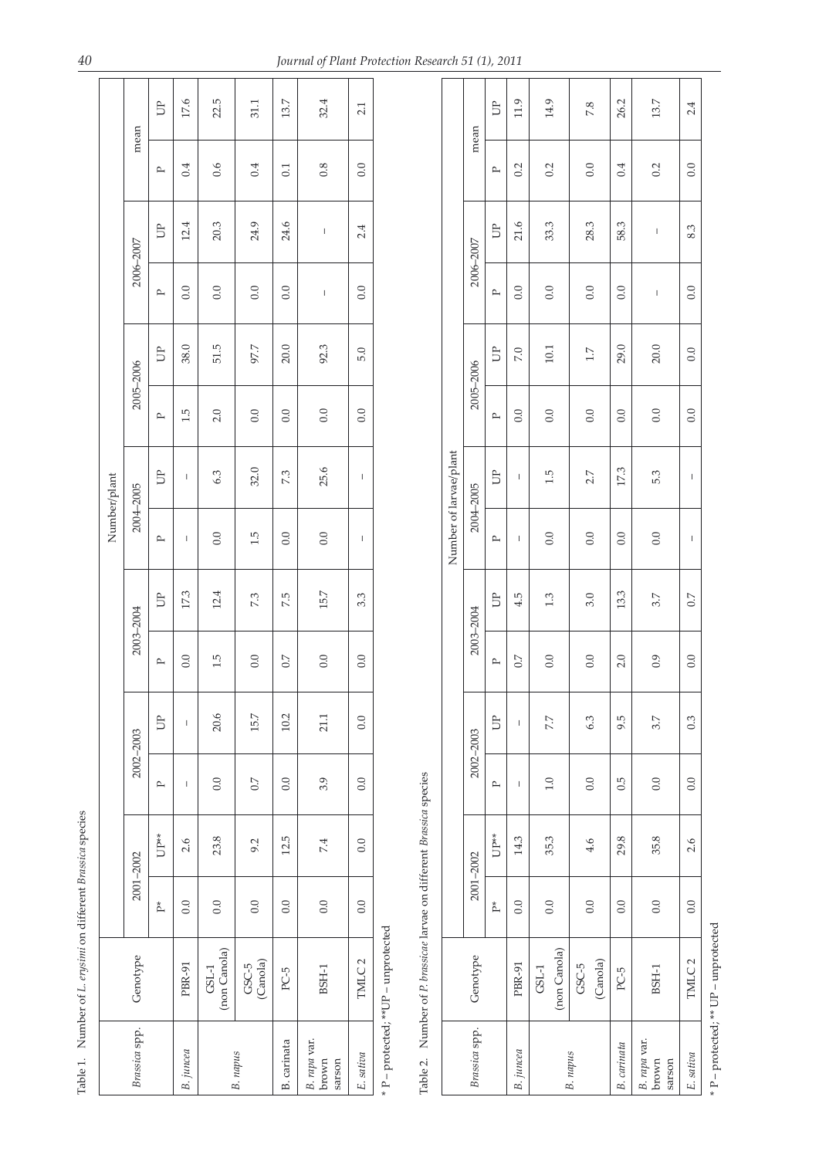|              |               | $\exists$    | 17.6         | 22.5                    | 31.1                | 13.7        | 32.4                            | 2.1                                                                                                                                                                                                                                                                                                                                                                              |
|--------------|---------------|--------------|--------------|-------------------------|---------------------|-------------|---------------------------------|----------------------------------------------------------------------------------------------------------------------------------------------------------------------------------------------------------------------------------------------------------------------------------------------------------------------------------------------------------------------------------|
|              | mean          | ≏            | 0.4          | 0.6                     | 0.4                 | 0.1         | 0.8                             | 0.0                                                                                                                                                                                                                                                                                                                                                                              |
|              |               | È            | 12.4         | 20.3                    | 24.9                | 24.6        | $\mathsf{I}$                    | 2.4                                                                                                                                                                                                                                                                                                                                                                              |
|              | 2006-2007     | ≏            | 0.0          | 0.0                     | 0.0                 | 0.0         | $\overline{\phantom{a}}$        | 0.0                                                                                                                                                                                                                                                                                                                                                                              |
|              |               | $\exists$    | 38.0         | 51.5                    | 97.7                | 20.0        | 92.3                            | 5.0                                                                                                                                                                                                                                                                                                                                                                              |
|              | 2005-2006     | ≏            | 1.5          | 2.0                     | 0.0                 | 0.0         | 0.0                             | 0.0                                                                                                                                                                                                                                                                                                                                                                              |
|              |               | È            | I            | 6.3                     | 32.0                | 7.3         | 25.6                            | $\begin{array}{c} \rule{0pt}{2.5ex} \rule{0pt}{2.5ex} \rule{0pt}{2.5ex} \rule{0pt}{2.5ex} \rule{0pt}{2.5ex} \rule{0pt}{2.5ex} \rule{0pt}{2.5ex} \rule{0pt}{2.5ex} \rule{0pt}{2.5ex} \rule{0pt}{2.5ex} \rule{0pt}{2.5ex} \rule{0pt}{2.5ex} \rule{0pt}{2.5ex} \rule{0pt}{2.5ex} \rule{0pt}{2.5ex} \rule{0pt}{2.5ex} \rule{0pt}{2.5ex} \rule{0pt}{2.5ex} \rule{0pt}{2.5ex} \rule{0$ |
| Number/plant | 2004-2005     | $\mathbf{r}$ | I            | 0.0                     | 1.5                 | 0.0         | 0.0                             | $\overline{\phantom{a}}$                                                                                                                                                                                                                                                                                                                                                         |
|              |               | È            | 17.3         | 12.4                    | 7.3                 | 7.5         | 15.7                            | 3.3                                                                                                                                                                                                                                                                                                                                                                              |
|              | 2003-2004     | $\mathbf{r}$ | 0.0          | 1.5                     | 0.0                 | 0.7         | 0.0                             | 0.0                                                                                                                                                                                                                                                                                                                                                                              |
|              |               | È            | $\mathsf{I}$ | 20.6                    | 15.7                | 10.2        | 21.1                            | 0.0                                                                                                                                                                                                                                                                                                                                                                              |
|              | 2002-2003     | ≏            | I            | 0.0                     | $\overline{0}$ .    | 0.0         | 3.9                             | 0.0                                                                                                                                                                                                                                                                                                                                                                              |
|              |               | UP**         | 2.6          | 23.8                    | 9.2                 | 12.5        | 7.4                             | 0.0                                                                                                                                                                                                                                                                                                                                                                              |
|              | 2001-2002     | ř,           | 0.0          | 0.0                     | 0.0                 | 0.0         | 0.0                             | 0.0                                                                                                                                                                                                                                                                                                                                                                              |
|              | Genotype      |              | PBR-91       | (non Canola)<br>$GSL-1$ | (Canola)<br>$GSC-5$ | PC-5        | BSH-1                           | TMLC <sub>2</sub>                                                                                                                                                                                                                                                                                                                                                                |
|              | Brassica spp. |              | B. juncea    |                         | B. napus            | B. carinata | B. rapa var.<br>brown<br>sarson | E. sativa                                                                                                                                                                                                                                                                                                                                                                        |

\* P – protected; \*\* UP – unprotected \* P – protected; \*\*UP – unprotected

Table 2. Number of P. brassicae larvae on different Brassica species Table 2. Number of *P. brassicae* larvae on different *Brassica* species

|                        |               | $\exists$        | 11.9           | 14.9                    | 7.8                 | 26.2        | 13.7                            | 2.4               |
|------------------------|---------------|------------------|----------------|-------------------------|---------------------|-------------|---------------------------------|-------------------|
|                        | mean          | ≏                | 0.2            | 0.2                     | 0.0                 | 0.4         | 0.2                             | 0.0               |
|                        |               | È                | 21.6           | 33.3                    | 28.3                | 58.3        | $\overline{\phantom{a}}$        | 8.3               |
|                        | 2006-2007     | ≏                | 0.0            | 0.0                     | 0.0                 | 0.0         | $\overline{\phantom{a}}$        | 0.0               |
|                        | 2005-2006     | È                | <b>P.0</b>     | 10.1                    | 1.7                 | 29.0        | $20.0\,$                        | 0.0               |
|                        |               | ≏                | 0.0            | 0.0                     | 0.0                 | 0.0         | 0.0                             | 0.0               |
| Number of larvae/plant | 2004-2005     | È                | I              | 1.5                     | 2.7                 | 173         | 5.3                             | $\mathbf{I}$      |
|                        |               | ≏                | I              | 0.0                     | 0.0                 | 0.0         | 0.0                             | $\mathbf{I}$      |
|                        | 2003-2004     | È                | 4.5            | 1.3                     | 3.0                 | 13.3        | 3.7                             | 0.7               |
|                        |               | $\triangleright$ | $\overline{C}$ | 0.0                     | 0.0                 | 2.0         | 0.9                             | 0.0               |
|                        | 2002-2003     | $\exists$        | İ              | 7.7                     | 6.3                 | 9.5         | 3.7                             | 0.3               |
|                        |               | P                | I              | 1.0                     | 0.0                 | 0.5         | 0.0                             | 0.0               |
|                        | 2001-2002     | UP**             | 14.3           | 35.3                    | $-4.6$              | 29.8        | 35.8                            | 2.6               |
|                        |               | p*               | 0.0            | 0.0                     | 0.0                 | 0.0         | 0.0                             | 0.0               |
|                        | Genotype      |                  | PBR-91         | (non Canola)<br>$GSL-1$ | (Canola)<br>$GSC-5$ | PC-5        | BSH-1                           | TMLC <sub>2</sub> |
|                        | Brassica spp. |                  | B. juncea      |                         | B. napus            | B. carinata | B. rapa var.<br>brown<br>sarson | E. sativa         |

\* P - protected; \*\* UP - unprotected \* P – protected; \*\* UP – unprotected

 $\mathbf{r}$ 

Table 1. Number of *L. erysimi* on different *Brassica* species

Table 1. Number of L. erysimi on different Brassica species

 $\overline{\phantom{0}}$ 

 $\overline{\phantom{a}}$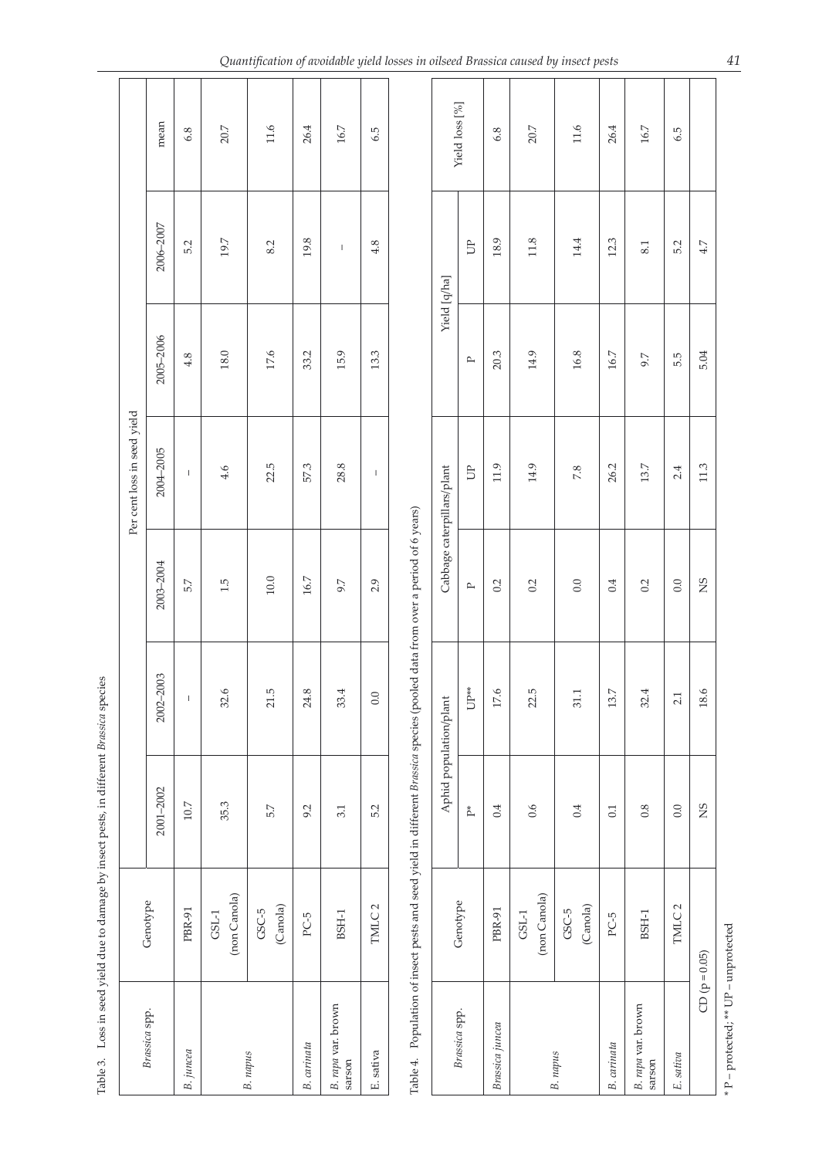| Yield loss [%]<br>mean<br>$20.7\,$<br>11.6<br>20.7<br>11.6<br>26.4<br>26.4<br>16.7<br>$16.7\,$<br>6.8<br>6.5<br>6.8 | 2006-2007<br>19.7<br>19.8<br>18.9<br>11.8<br>12.3<br>14.4<br>5.2<br>8.2<br>4.8<br><b>D</b><br>8.1<br>$\mathsf I$<br>Yield [q/ha] | 2005-2006<br>18.0<br>17.6<br>33.2<br>15.9<br>13.3<br>20.3<br>14.9<br>16.8<br>16.7<br>4.8<br>9.7<br>$\mathbf{r}$ | Per cent loss in seed yield<br>2004-2005<br>22.5<br>57.3<br>28.8<br>13.7<br>11.9<br>14.9<br>26.2<br>Cabbage caterpillars/plant<br><b>D</b><br>4.6<br>7.8<br>$\mathsf I$<br>1 | 2003-2004<br>$10.0\,$<br>16.7<br>5.7<br>1.5<br>2.9<br>$0.0\,$<br>0.4<br>9.7<br>0.2<br>0.2<br>0.2<br>$\mathbb{P}$ | 2002-2003<br>$UP^*$<br>$\tilde{\mathcal{O}}$<br>ڢ<br>r.<br>œ.<br>33.4<br>r.<br>13.7<br>32.4<br>0.0<br>31.1<br>L<br>32<br>21.<br>24<br>$\overline{17}$<br>22. | reple 5. Loss in seed Mend and Descriptional and a matematical property species<br>Aphid population/plant<br>2001-2002<br>35.3<br>$10.7\,$<br>5.7<br>5.2<br>0.4<br>0.6<br>0.4<br>0.8<br>9.2<br>3.1<br>0.1<br>$\mathbb{P}^*$ | (non Canola)<br>(non Canola)<br>Genotype<br>Genotype<br>(Canola)<br>TMLC <sub>2</sub><br>(Canola)<br>PBR-91<br>$GSC-5$<br>PBR-91<br>$GSC-5$<br>$\mathsf{GSL}\text{-}\mathsf{1}$<br>$\mathsf{GSL}\text{-}\mathsf{1}$<br>$BSH-1$<br>$BSH-1$<br>$PC-5$<br>$PC-5$ | Table 4. Population of insect pests and seed yield in different Brassica species (pooled data from over a period of 6 years)<br>B. rapa var. brown<br>sarson<br>B. rapa var. brown<br>sarson<br>Brassica spp.<br>Brassica spp.<br>Brassica juncea<br>B. carinata<br>B. carinata<br>$B.$ juncea<br>E. sativa<br>B. napus<br>B. napus |
|---------------------------------------------------------------------------------------------------------------------|----------------------------------------------------------------------------------------------------------------------------------|-----------------------------------------------------------------------------------------------------------------|------------------------------------------------------------------------------------------------------------------------------------------------------------------------------|------------------------------------------------------------------------------------------------------------------|--------------------------------------------------------------------------------------------------------------------------------------------------------------|-----------------------------------------------------------------------------------------------------------------------------------------------------------------------------------------------------------------------------|---------------------------------------------------------------------------------------------------------------------------------------------------------------------------------------------------------------------------------------------------------------|-------------------------------------------------------------------------------------------------------------------------------------------------------------------------------------------------------------------------------------------------------------------------------------------------------------------------------------|
| 6.5                                                                                                                 | 5.2<br>$4.7$                                                                                                                     | 5.04<br>5.5                                                                                                     | $11.3$<br>2.4                                                                                                                                                                | SN<br>0.0                                                                                                        | 18.6<br>2.1                                                                                                                                                  | $_{\rm NS}$<br>0.0                                                                                                                                                                                                          | TMLC <sub>2</sub>                                                                                                                                                                                                                                             | $CD (p = 0.05)$<br>E. sativa                                                                                                                                                                                                                                                                                                        |
|                                                                                                                     |                                                                                                                                  |                                                                                                                 |                                                                                                                                                                              |                                                                                                                  |                                                                                                                                                              |                                                                                                                                                                                                                             |                                                                                                                                                                                                                                                               |                                                                                                                                                                                                                                                                                                                                     |
|                                                                                                                     |                                                                                                                                  |                                                                                                                 |                                                                                                                                                                              |                                                                                                                  |                                                                                                                                                              |                                                                                                                                                                                                                             |                                                                                                                                                                                                                                                               |                                                                                                                                                                                                                                                                                                                                     |
|                                                                                                                     |                                                                                                                                  |                                                                                                                 |                                                                                                                                                                              |                                                                                                                  |                                                                                                                                                              |                                                                                                                                                                                                                             |                                                                                                                                                                                                                                                               |                                                                                                                                                                                                                                                                                                                                     |
|                                                                                                                     |                                                                                                                                  |                                                                                                                 |                                                                                                                                                                              |                                                                                                                  |                                                                                                                                                              |                                                                                                                                                                                                                             |                                                                                                                                                                                                                                                               |                                                                                                                                                                                                                                                                                                                                     |
|                                                                                                                     |                                                                                                                                  |                                                                                                                 |                                                                                                                                                                              |                                                                                                                  |                                                                                                                                                              |                                                                                                                                                                                                                             |                                                                                                                                                                                                                                                               |                                                                                                                                                                                                                                                                                                                                     |
|                                                                                                                     |                                                                                                                                  |                                                                                                                 |                                                                                                                                                                              |                                                                                                                  |                                                                                                                                                              |                                                                                                                                                                                                                             |                                                                                                                                                                                                                                                               |                                                                                                                                                                                                                                                                                                                                     |
|                                                                                                                     |                                                                                                                                  |                                                                                                                 |                                                                                                                                                                              |                                                                                                                  |                                                                                                                                                              |                                                                                                                                                                                                                             |                                                                                                                                                                                                                                                               |                                                                                                                                                                                                                                                                                                                                     |
|                                                                                                                     |                                                                                                                                  |                                                                                                                 |                                                                                                                                                                              |                                                                                                                  |                                                                                                                                                              |                                                                                                                                                                                                                             |                                                                                                                                                                                                                                                               |                                                                                                                                                                                                                                                                                                                                     |
|                                                                                                                     |                                                                                                                                  |                                                                                                                 |                                                                                                                                                                              |                                                                                                                  |                                                                                                                                                              |                                                                                                                                                                                                                             |                                                                                                                                                                                                                                                               |                                                                                                                                                                                                                                                                                                                                     |
|                                                                                                                     |                                                                                                                                  |                                                                                                                 |                                                                                                                                                                              |                                                                                                                  |                                                                                                                                                              |                                                                                                                                                                                                                             |                                                                                                                                                                                                                                                               |                                                                                                                                                                                                                                                                                                                                     |
|                                                                                                                     |                                                                                                                                  |                                                                                                                 |                                                                                                                                                                              |                                                                                                                  |                                                                                                                                                              |                                                                                                                                                                                                                             |                                                                                                                                                                                                                                                               |                                                                                                                                                                                                                                                                                                                                     |
|                                                                                                                     |                                                                                                                                  |                                                                                                                 |                                                                                                                                                                              |                                                                                                                  |                                                                                                                                                              |                                                                                                                                                                                                                             |                                                                                                                                                                                                                                                               |                                                                                                                                                                                                                                                                                                                                     |
|                                                                                                                     |                                                                                                                                  |                                                                                                                 |                                                                                                                                                                              |                                                                                                                  |                                                                                                                                                              |                                                                                                                                                                                                                             |                                                                                                                                                                                                                                                               |                                                                                                                                                                                                                                                                                                                                     |
|                                                                                                                     |                                                                                                                                  |                                                                                                                 |                                                                                                                                                                              |                                                                                                                  |                                                                                                                                                              |                                                                                                                                                                                                                             |                                                                                                                                                                                                                                                               |                                                                                                                                                                                                                                                                                                                                     |
|                                                                                                                     |                                                                                                                                  |                                                                                                                 |                                                                                                                                                                              |                                                                                                                  |                                                                                                                                                              |                                                                                                                                                                                                                             |                                                                                                                                                                                                                                                               |                                                                                                                                                                                                                                                                                                                                     |
|                                                                                                                     |                                                                                                                                  |                                                                                                                 |                                                                                                                                                                              |                                                                                                                  |                                                                                                                                                              |                                                                                                                                                                                                                             |                                                                                                                                                                                                                                                               |                                                                                                                                                                                                                                                                                                                                     |
|                                                                                                                     |                                                                                                                                  |                                                                                                                 |                                                                                                                                                                              |                                                                                                                  |                                                                                                                                                              |                                                                                                                                                                                                                             |                                                                                                                                                                                                                                                               |                                                                                                                                                                                                                                                                                                                                     |
|                                                                                                                     |                                                                                                                                  |                                                                                                                 |                                                                                                                                                                              |                                                                                                                  |                                                                                                                                                              |                                                                                                                                                                                                                             |                                                                                                                                                                                                                                                               |                                                                                                                                                                                                                                                                                                                                     |

 $\frac{1}{4}$  different Branche creation Table 3. Loss in seed yield due to damage by insect pests, in different *Brassica* species  $\frac{1}{2}$  $\mathbf{h}$ cood viiold ducto de Table 3 I ose in

 $* P - protected; ** UP - unprotected$ \* P – protected; \*\* UP – unprotected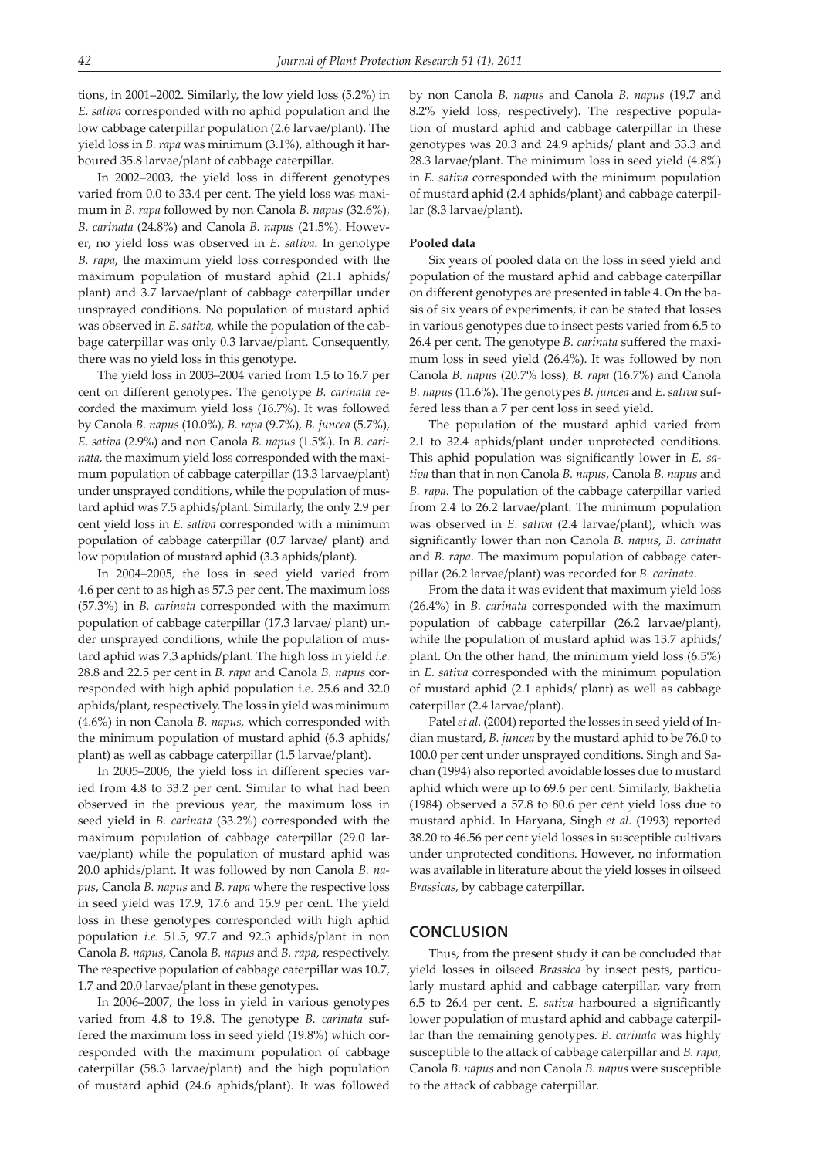tions, in 2001–2002. Similarly, the low yield loss (5.2%) in *E. sativa* corresponded with no aphid population and the low cabbage caterpillar population (2.6 larvae/plant). The yield loss in *B. rapa* was minimum (3.1%), although it harboured 35.8 larvae/plant of cabbage caterpillar.

In 2002–2003, the yield loss in different genotypes varied from 0.0 to 33.4 per cent. The yield loss was maximum in *B. rapa* followed by non Canola *B. napus* (32.6%), *B. carinata* (24.8%) and Canola *B. napus* (21.5%). However, no yield loss was observed in *E. sativa*. In genotype *B. rapa*, the maximum yield loss corresponded with the maximum population of mustard aphid (21.1 aphids/ plant) and 3.7 larvae/plant of cabbage caterpillar under unsprayed conditions. No population of mustard aphid was observed in *E. sativa,* while the population of the cabbage caterpillar was only 0.3 larvae/plant. Consequently, there was no yield loss in this genotype.

The yield loss in 2003–2004 varied from 1.5 to 16.7 per cent on different genotypes. The genotype *B. carinata* recorded the maximum yield loss (16.7%). It was followed by Canola *B. napus* (10.0%), *B. rapa* (9.7%), *B. juncea* (5.7%), *E. sativa* (2.9%) and non Canola *B. napus* (1.5%). In *B. carinata*, the maximum yield loss corresponded with the maximum population of cabbage caterpillar (13.3 larvae/plant) under unsprayed conditions, while the population of mustard aphid was 7.5 aphids/plant. Similarly, the only 2.9 per cent yield loss in *E. sativa* corresponded with a minimum population of cabbage caterpillar (0.7 larvae/ plant) and low population of mustard aphid (3.3 aphids/plant).

In 2004–2005, the loss in seed yield varied from 4.6 per cent to as high as 57.3 per cent. The maximum loss (57.3%) in *B. carinata* corresponded with the maximum population of cabbage caterpillar (17.3 larvae/ plant) under unsprayed conditions, while the population of mustard aphid was 7.3 aphids/plant. The high loss in yield *i.e.* 28.8 and 22.5 per cent in *B. rapa* and Canola *B. napus* corresponded with high aphid population i.e. 25.6 and 32.0 aphids/plant, respectively. The loss in yield was minimum (4.6%) in non Canola *B. napus,* which corresponded with the minimum population of mustard aphid (6.3 aphids/ plant) as well as cabbage caterpillar (1.5 larvae/plant).

In 2005–2006, the yield loss in different species varied from 4.8 to 33.2 per cent. Similar to what had been observed in the previous year, the maximum loss in seed yield in *B. carinata* (33.2%) corresponded with the maximum population of cabbage caterpillar (29.0 larvae/plant) while the population of mustard aphid was 20.0 aphids/plant. It was followed by non Canola *B. napus*, Canola *B. napus* and *B. rapa* where the respective loss in seed yield was 17.9, 17.6 and 15.9 per cent. The yield loss in these genotypes corresponded with high aphid population *i.e.* 51.5, 97.7 and 92.3 aphids/plant in non Canola *B. napus*, Canola *B. napus* and *B. rapa*, respectively. The respective population of cabbage caterpillar was 10.7, 1.7 and 20.0 larvae/plant in these genotypes.

In 2006–2007, the loss in yield in various genotypes varied from 4.8 to 19.8. The genotype *B. carinata* suffered the maximum loss in seed yield (19.8%) which corresponded with the maximum population of cabbage caterpillar (58.3 larvae/plant) and the high population of mustard aphid (24.6 aphids/plant). It was followed by non Canola *B. napus* and Canola *B. napus* (19.7 and 8.2% yield loss, respectively). The respective population of mustard aphid and cabbage caterpillar in these genotypes was 20.3 and 24.9 aphids/ plant and 33.3 and 28.3 larvae/plant. The minimum loss in seed yield (4.8%) in *E. sativa* corresponded with the minimum population of mustard aphid (2.4 aphids/plant) and cabbage caterpillar (8.3 larvae/plant).

#### **Pooled data**

Six years of pooled data on the loss in seed yield and population of the mustard aphid and cabbage caterpillar on different genotypes are presented in table 4. On the basis of six years of experiments, it can be stated that losses in various genotypes due to insect pests varied from 6.5 to 26.4 per cent. The genotype *B. carinata* suffered the maximum loss in seed yield (26.4%). It was followed by non Canola *B. napus* (20.7% loss), *B. rapa* (16.7%) and Canola *B. napus* (11.6%). The genotypes *B. juncea* and *E. sativa* suffered less than a 7 per cent loss in seed yield.

The population of the mustard aphid varied from 2.1 to 32.4 aphids/plant under unprotected conditions. This aphid population was significantly lower in *E. sativa* than that in non Canola *B. napus*, Canola *B. napus* and *B. rapa*. The population of the cabbage caterpillar varied from 2.4 to 26.2 larvae/plant. The minimum population was observed in *E. sativa* (2.4 larvae/plant), which was significantly lower than non Canola *B. napus*, *B. carinata* and *B. rapa*. The maximum population of cabbage caterpillar (26.2 larvae/plant) was recorded for *B. carinata*.

From the data it was evident that maximum yield loss (26.4%) in *B. carinata* corresponded with the maximum population of cabbage caterpillar (26.2 larvae/plant), while the population of mustard aphid was 13.7 aphids/ plant. On the other hand, the minimum yield loss (6.5%) in *E. sativa* corresponded with the minimum population of mustard aphid (2.1 aphids/ plant) as well as cabbage caterpillar (2.4 larvae/plant).

Patel *et al.* (2004) reported the losses in seed yield of Indian mustard, *B. juncea* by the mustard aphid to be 76.0 to 100.0 per cent under unsprayed conditions. Singh and Sachan (1994) also reported avoidable losses due to mustard aphid which were up to 69.6 per cent. Similarly, Bakhetia (1984) observed a 57.8 to 80.6 per cent yield loss due to mustard aphid. In Haryana, Singh *et al.* (1993) reported 38.20 to 46.56 per cent yield losses in susceptible cultivars under unprotected conditions. However, no information was available in literature about the yield losses in oilseed *Brassicas,* by cabbage caterpillar.

### **CONCLUSION**

Thus, from the present study it can be concluded that yield losses in oilseed *Brassica* by insect pests, particularly mustard aphid and cabbage caterpillar, vary from 6.5 to 26.4 per cent. *E. sativa* harboured a significantly lower population of mustard aphid and cabbage caterpillar than the remaining genotypes. *B. carinata* was highly susceptible to the attack of cabbage caterpillar and *B. rapa*, Canola *B. napus* and non Canola *B. napus* were susceptible to the attack of cabbage caterpillar.